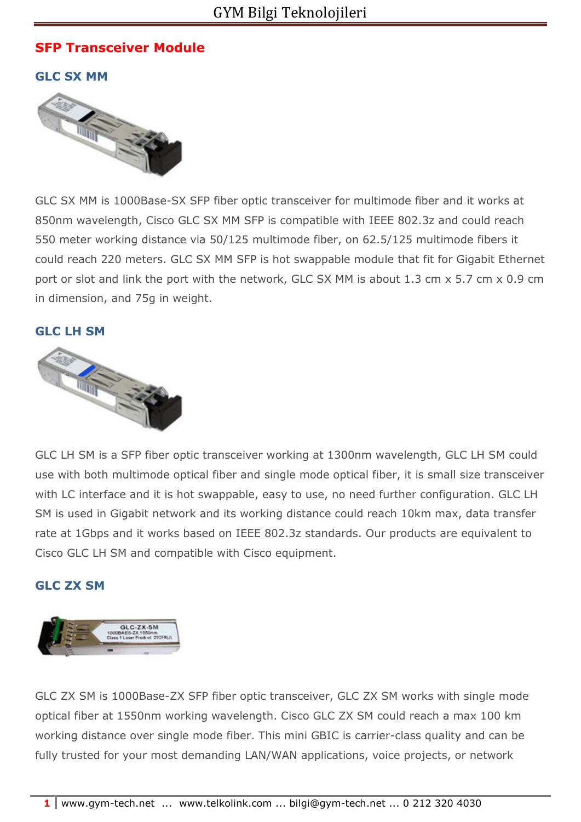# **SFP Transceiver Module**

**GLC SX MM** 



GLC SX MM is 1000Base-SX SFP fiber optic transceiver for multimode fiber and it works at 850nm wavelength, Cisco GLC SX MM SFP is compatible with IEEE 802.3z and could reach 550 meter working distance via 50/125 multimode fiber, on 62.5/125 multimode fibers it could reach 220 meters. GLC SX MM SFP is hot swappable module that fit for Gigabit Ethernet port or slot and link the port with the network, GLC SX MM is about 1.3 cm x 5.7 cm x 0.9 cm in dimension, and 75g in weight.

## **GLC LH SM**



GLC LH SM is a SFP fiber optic transceiver working at 1300nm wavelength, GLC LH SM could use with both multimode optical fiber and single mode optical fiber, it is small size transceiver with LC interface and it is hot swappable, easy to use, no need further configuration. GLC LH SM is used in Gigabit network and its working distance could reach 10km max, data transfer rate at 1Gbps and it works based on IEEE 802.3z standards. Our products are equivalent to Cisco GLC LH SM and compatible with Cisco equipment.

## **GLC ZX SM**



GLC ZX SM is 1000Base-ZX SFP fiber optic transceiver, GLC ZX SM works with single mode optical fiber at 1550nm working wavelength. Cisco GLC ZX SM could reach a max 100 km working distance over single mode fiber. This mini GBIC is carrier-class quality and can be fully trusted for your most demanding LAN/WAN applications, voice projects, or network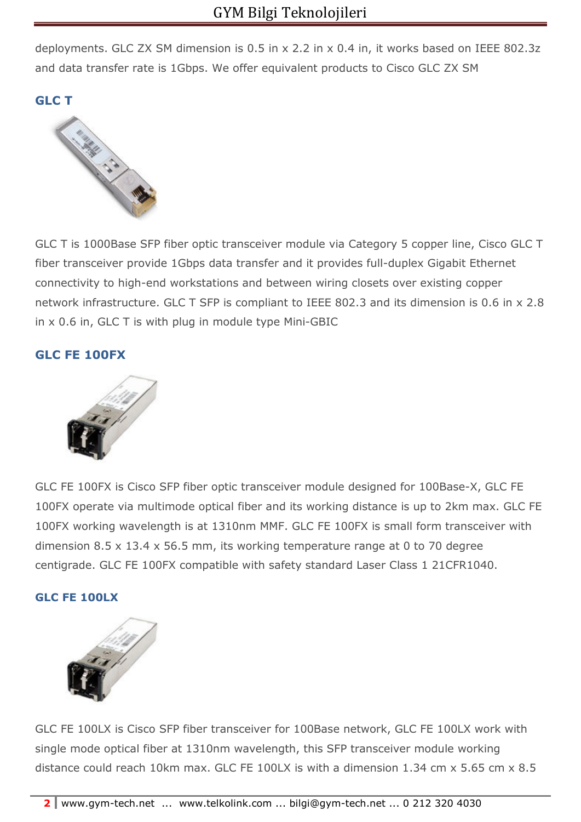deployments. GLC ZX SM dimension is 0.5 in x 2.2 in x 0.4 in, it works based on IEEE 802.3z and data transfer rate is 1Gbps. We offer equivalent products to Cisco GLC ZX SM

**GLC T** 



GLC T is 1000Base SFP fiber optic transceiver module via Category 5 copper line, Cisco GLC T fiber transceiver provide 1Gbps data transfer and it provides full-duplex Gigabit Ethernet connectivity to high-end workstations and between wiring closets over existing copper network infrastructure. GLC T SFP is compliant to IEEE 802.3 and its dimension is 0.6 in x 2.8 in x 0.6 in, GLC T is with plug in module type Mini-GBIC

## **GLC FE 100FX**



GLC FE 100FX is Cisco SFP fiber optic transceiver module designed for 100Base-X, GLC FE 100FX operate via multimode optical fiber and its working distance is up to 2km max. GLC FE 100FX working wavelength is at 1310nm MMF. GLC FE 100FX is small form transceiver with dimension 8.5 x 13.4 x 56.5 mm, its working temperature range at 0 to 70 degree centigrade. GLC FE 100FX compatible with safety standard Laser Class 1 21CFR1040.

### **GLC FE 100LX**



GLC FE 100LX is Cisco SFP fiber transceiver for 100Base network, GLC FE 100LX work with single mode optical fiber at 1310nm wavelength, this SFP transceiver module working distance could reach 10km max. GLC FE 100LX is with a dimension 1.34 cm x 5.65 cm x 8.5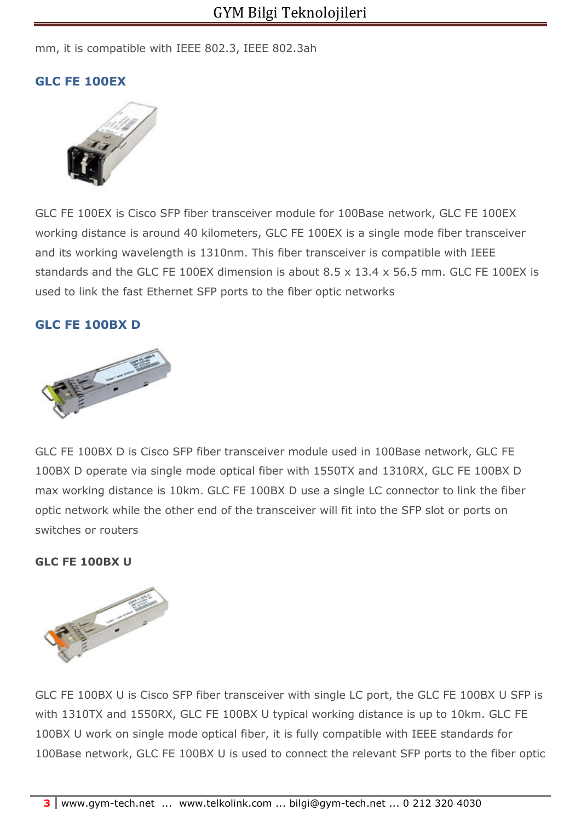mm, it is compatible with IEEE 802.3, IEEE 802.3ah

## **GLC FE 100EX**



GLC FE 100EX is Cisco SFP fiber transceiver module for 100Base network, GLC FE 100EX working distance is around 40 kilometers, GLC FE 100EX is a single mode fiber transceiver and its working wavelength is 1310nm. This fiber transceiver is compatible with IEEE standards and the GLC FE 100EX dimension is about 8.5 x 13.4 x 56.5 mm. GLC FE 100EX is used to link the fast Ethernet SFP ports to the fiber optic networks

## **GLC FE 100BX D**



GLC FE 100BX D is Cisco SFP fiber transceiver module used in 100Base network, GLC FE 100BX D operate via single mode optical fiber with 1550TX and 1310RX, GLC FE 100BX D max working distance is 10km. GLC FE 100BX D use a single LC connector to link the fiber optic network while the other end of the transceiver will fit into the SFP slot or ports on switches or routers

#### **GLC FE 100BX U**



GLC FE 100BX U is Cisco SFP fiber transceiver with single LC port, the GLC FE 100BX U SFP is with 1310TX and 1550RX, GLC FE 100BX U typical working distance is up to 10km. GLC FE 100BX U work on single mode optical fiber, it is fully compatible with IEEE standards for 100Base network, GLC FE 100BX U is used to connect the relevant SFP ports to the fiber optic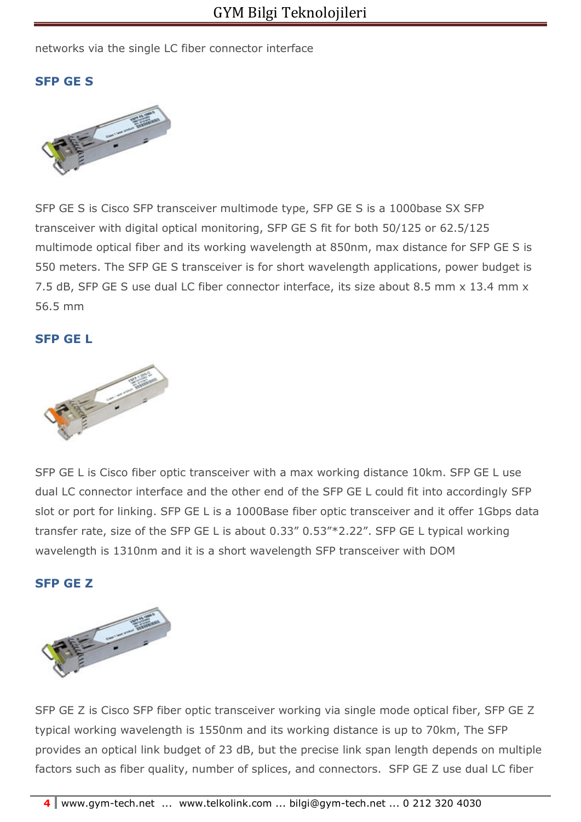### networks via the single LC fiber connector interface

## **SFP GE S**



SFP GE S is Cisco SFP transceiver multimode type, SFP GE S is a 1000base SX SFP transceiver with digital optical monitoring, SFP GE S fit for both 50/125 or 62.5/125 multimode optical fiber and its working wavelength at 850nm, max distance for SFP GE S is 550 meters. The SFP GE S transceiver is for short wavelength applications, power budget is 7.5 dB, SFP GE S use dual LC fiber connector interface, its size about 8.5 mm x 13.4 mm x 56.5 mm

### **SFP GE L**



SFP GE L is Cisco fiber optic transceiver with a max working distance 10km. SFP GE L use dual LC connector interface and the other end of the SFP GE L could fit into accordingly SFP slot or port for linking. SFP GE L is a 1000Base fiber optic transceiver and it offer 1Gbps data transfer rate, size of the SFP GE L is about 0.33" 0.53"\*2.22". SFP GE L typical working wavelength is 1310nm and it is a short wavelength SFP transceiver with DOM

#### **SFP GE Z**



SFP GE Z is Cisco SFP fiber optic transceiver working via single mode optical fiber, SFP GE Z typical working wavelength is 1550nm and its working distance is up to 70km, The SFP provides an optical link budget of 23 dB, but the precise link span length depends on multiple factors such as fiber quality, number of splices, and connectors. SFP GE Z use dual LC fiber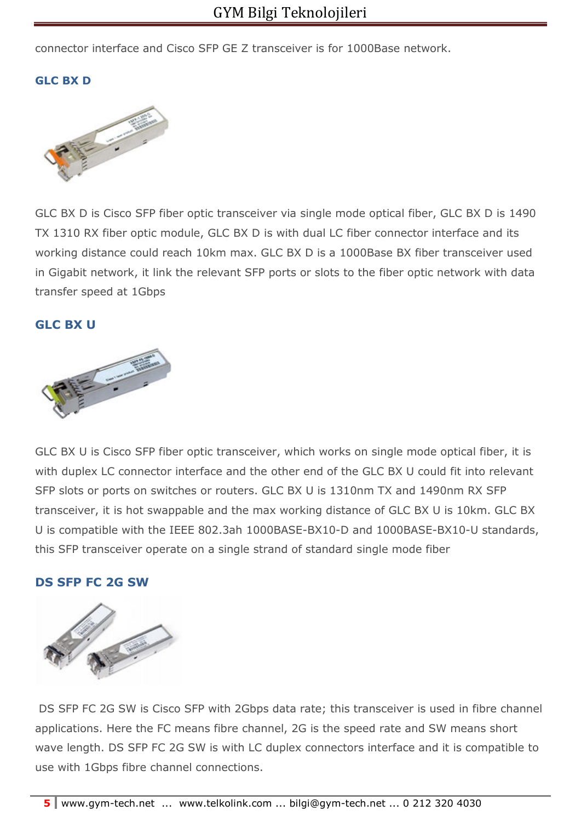connector interface and Cisco SFP GE Z transceiver is for 1000Base network.

## **GLC BX D**



GLC BX D is Cisco SFP fiber optic transceiver via single mode optical fiber, GLC BX D is 1490 TX 1310 RX fiber optic module, GLC BX D is with dual LC fiber connector interface and its working distance could reach 10km max. GLC BX D is a 1000Base BX fiber transceiver used in Gigabit network, it link the relevant SFP ports or slots to the fiber optic network with data transfer speed at 1Gbps

#### **GLC BX U**



GLC BX U is Cisco SFP fiber optic transceiver, which works on single mode optical fiber, it is with duplex LC connector interface and the other end of the GLC BX U could fit into relevant SFP slots or ports on switches or routers. GLC BX U is 1310nm TX and 1490nm RX SFP transceiver, it is hot swappable and the max working distance of GLC BX U is 10km. GLC BX U is compatible with the IEEE 802.3ah 1000BASE-BX10-D and 1000BASE-BX10-U standards, this SFP transceiver operate on a single strand of standard single mode fiber

#### **DS SFP FC 2G SW**



 DS SFP FC 2G SW is Cisco SFP with 2Gbps data rate; this transceiver is used in fibre channel applications. Here the FC means fibre channel, 2G is the speed rate and SW means short wave length. DS SFP FC 2G SW is with LC duplex connectors interface and it is compatible to use with 1Gbps fibre channel connections.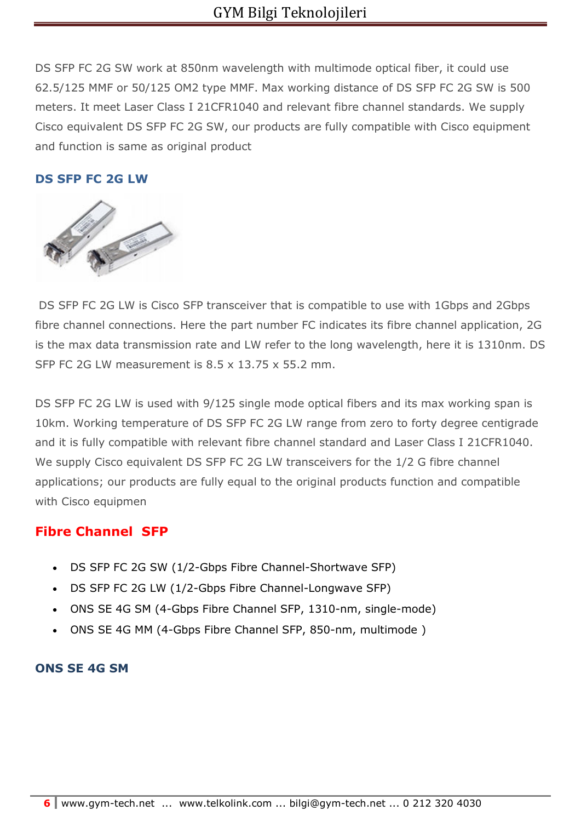DS SFP FC 2G SW work at 850nm wavelength with multimode optical fiber, it could use 62.5/125 MMF or 50/125 OM2 type MMF. Max working distance of DS SFP FC 2G SW is 500 meters. It meet Laser Class I 21CFR1040 and relevant fibre channel standards. We supply Cisco equivalent DS SFP FC 2G SW, our products are fully compatible with Cisco equipment and function is same as original product

## **DS SFP FC 2G LW**



 DS SFP FC 2G LW is Cisco SFP transceiver that is compatible to use with 1Gbps and 2Gbps fibre channel connections. Here the part number FC indicates its fibre channel application, 2G is the max data transmission rate and LW refer to the long wavelength, here it is 1310nm. DS SFP FC 2G LW measurement is 8.5 x 13.75 x 55.2 mm.

DS SFP FC 2G LW is used with 9/125 single mode optical fibers and its max working span is 10km. Working temperature of DS SFP FC 2G LW range from zero to forty degree centigrade and it is fully compatible with relevant fibre channel standard and Laser Class I 21CFR1040. We supply Cisco equivalent DS SFP FC 2G LW transceivers for the 1/2 G fibre channel applications; our products are fully equal to the original products function and compatible with Cisco equipmen

## **Fibre Channel SFP**

- DS SFP FC 2G SW (1/2-Gbps Fibre Channel-Shortwave SFP)
- DS SFP FC 2G LW (1/2-Gbps Fibre Channel-Longwave SFP)
- ONS SE 4G SM (4-Gbps Fibre Channel SFP, 1310-nm, single-mode)
- ONS SE 4G MM (4-Gbps Fibre Channel SFP, 850-nm, multimode )

### **ONS SE 4G SM**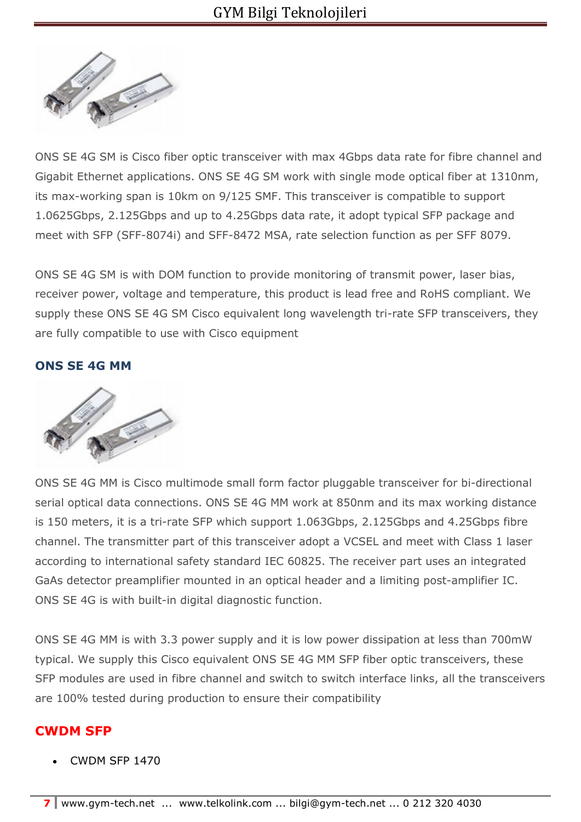

ONS SE 4G SM is Cisco fiber optic transceiver with max 4Gbps data rate for fibre channel and Gigabit Ethernet applications. ONS SE 4G SM work with single mode optical fiber at 1310nm, its max-working span is 10km on 9/125 SMF. This transceiver is compatible to support 1.0625Gbps, 2.125Gbps and up to 4.25Gbps data rate, it adopt typical SFP package and meet with SFP (SFF-8074i) and SFF-8472 MSA, rate selection function as per SFF 8079.

ONS SE 4G SM is with DOM function to provide monitoring of transmit power, laser bias, receiver power, voltage and temperature, this product is lead free and RoHS compliant. We supply these ONS SE 4G SM Cisco equivalent long wavelength tri-rate SFP transceivers, they are fully compatible to use with Cisco equipment

## **ONS SE 4G MM**



ONS SE 4G MM is Cisco multimode small form factor pluggable transceiver for bi-directional serial optical data connections. ONS SE 4G MM work at 850nm and its max working distance is 150 meters, it is a tri-rate SFP which support 1.063Gbps, 2.125Gbps and 4.25Gbps fibre channel. The transmitter part of this transceiver adopt a VCSEL and meet with Class 1 laser according to international safety standard IEC 60825. The receiver part uses an integrated GaAs detector preamplifier mounted in an optical header and a limiting post-amplifier IC. ONS SE 4G is with built-in digital diagnostic function.

ONS SE 4G MM is with 3.3 power supply and it is low power dissipation at less than 700mW typical. We supply this Cisco equivalent ONS SE 4G MM SFP fiber optic transceivers, these SFP modules are used in fibre channel and switch to switch interface links, all the transceivers are 100% tested during production to ensure their compatibility

## **CWDM SFP**

• CWDM SFP 1470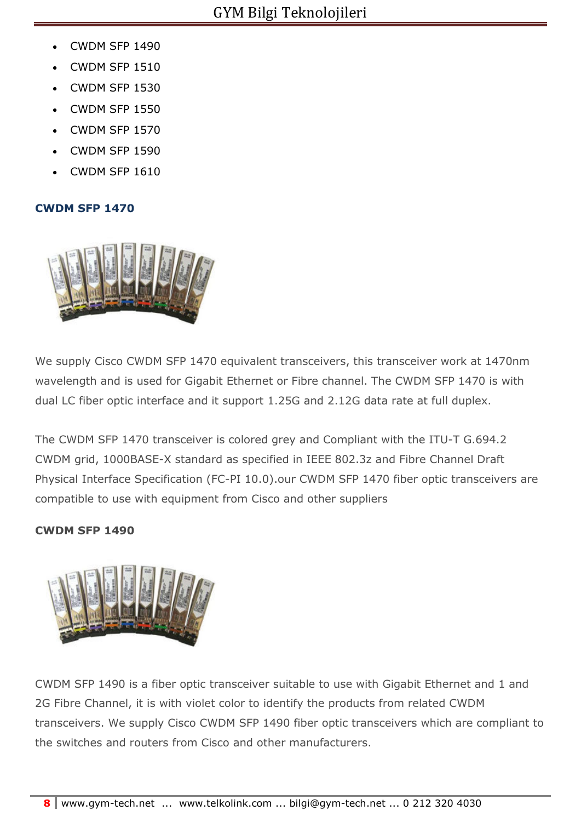- CWDM SFP 1490
- CWDM SFP 1510
- CWDM SFP 1530
- CWDM SFP 1550
- CWDM SFP 1570
- CWDM SFP 1590
- CWDM SFP 1610

### **CWDM SFP 1470**



We supply Cisco CWDM SFP 1470 equivalent transceivers, this transceiver work at 1470nm wavelength and is used for Gigabit Ethernet or Fibre channel. The CWDM SFP 1470 is with dual LC fiber optic interface and it support 1.25G and 2.12G data rate at full duplex.

The CWDM SFP 1470 transceiver is colored grey and Compliant with the ITU-T G.694.2 CWDM grid, 1000BASE-X standard as specified in IEEE 802.3z and Fibre Channel Draft Physical Interface Specification (FC-PI 10.0).our CWDM SFP 1470 fiber optic transceivers are compatible to use with equipment from Cisco and other suppliers

#### **CWDM SFP 1490**



CWDM SFP 1490 is a fiber optic transceiver suitable to use with Gigabit Ethernet and 1 and 2G Fibre Channel, it is with violet color to identify the products from related CWDM transceivers. We supply Cisco CWDM SFP 1490 fiber optic transceivers which are compliant to the switches and routers from Cisco and other manufacturers.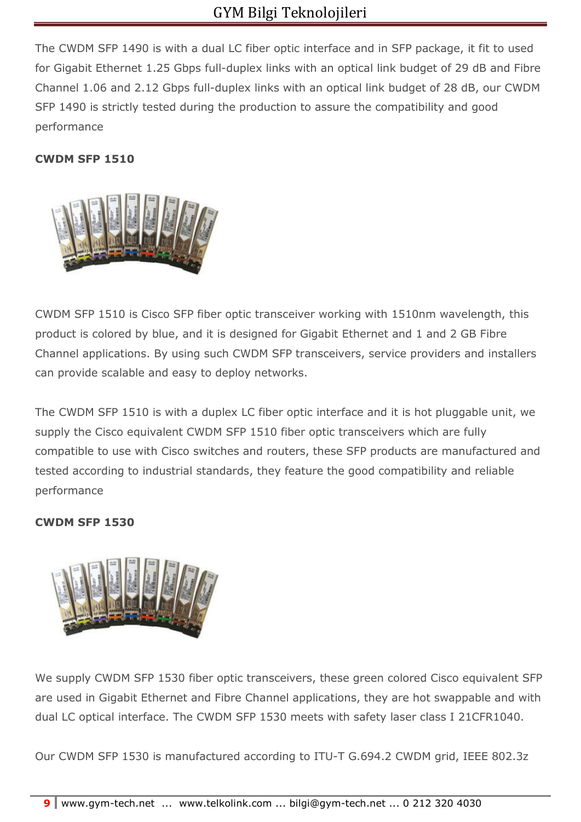The CWDM SFP 1490 is with a dual LC fiber optic interface and in SFP package, it fit to used for Gigabit Ethernet 1.25 Gbps full-duplex links with an optical link budget of 29 dB and Fibre Channel 1.06 and 2.12 Gbps full-duplex links with an optical link budget of 28 dB, our CWDM SFP 1490 is strictly tested during the production to assure the compatibility and good performance

## **CWDM SFP 1510**



CWDM SFP 1510 is Cisco SFP fiber optic transceiver working with 1510nm wavelength, this product is colored by blue, and it is designed for Gigabit Ethernet and 1 and 2 GB Fibre Channel applications. By using such CWDM SFP transceivers, service providers and installers can provide scalable and easy to deploy networks.

The CWDM SFP 1510 is with a duplex LC fiber optic interface and it is hot pluggable unit, we supply the Cisco equivalent CWDM SFP 1510 fiber optic transceivers which are fully compatible to use with Cisco switches and routers, these SFP products are manufactured and tested according to industrial standards, they feature the good compatibility and reliable performance

## **CWDM SFP 1530**



We supply CWDM SFP 1530 fiber optic transceivers, these green colored Cisco equivalent SFP are used in Gigabit Ethernet and Fibre Channel applications, they are hot swappable and with dual LC optical interface. The CWDM SFP 1530 meets with safety laser class I 21CFR1040.

Our CWDM SFP 1530 is manufactured according to ITU-T G.694.2 CWDM grid, IEEE 802.3z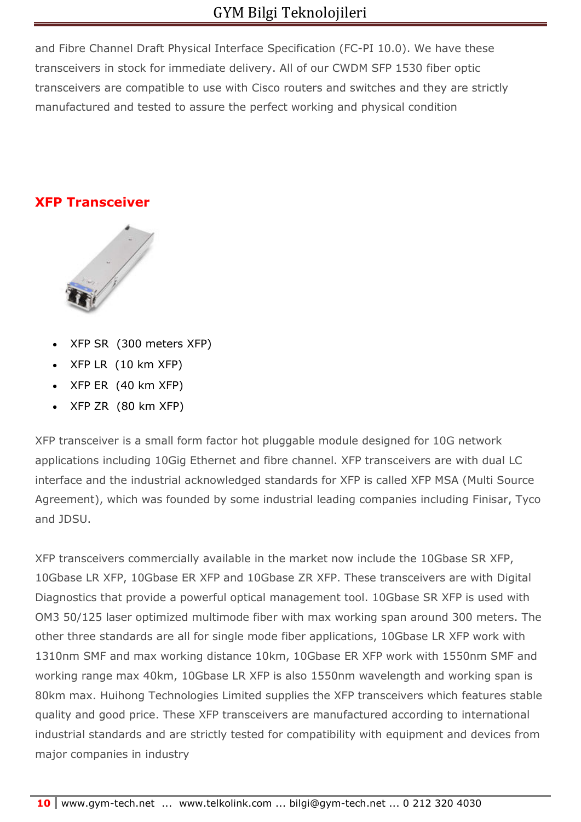and Fibre Channel Draft Physical Interface Specification (FC-PI 10.0). We have these transceivers in stock for immediate delivery. All of our CWDM SFP 1530 fiber optic transceivers are compatible to use with Cisco routers and switches and they are strictly manufactured and tested to assure the perfect working and physical condition

# **XFP Transceiver**



- XFP SR (300 meters XFP)
- XFP LR (10 km XFP)
- XFP ER (40 km XFP)
- XFP ZR (80 km XFP)

XFP transceiver is a small form factor hot pluggable module designed for 10G network applications including 10Gig Ethernet and fibre channel. XFP transceivers are with dual LC interface and the industrial acknowledged standards for XFP is called XFP MSA (Multi Source Agreement), which was founded by some industrial leading companies including Finisar, Tyco and JDSU.

XFP transceivers commercially available in the market now include the 10Gbase SR XFP, 10Gbase LR XFP, 10Gbase ER XFP and 10Gbase ZR XFP. These transceivers are with Digital Diagnostics that provide a powerful optical management tool. 10Gbase SR XFP is used with OM3 50/125 laser optimized multimode fiber with max working span around 300 meters. The other three standards are all for single mode fiber applications, 10Gbase LR XFP work with 1310nm SMF and max working distance 10km, 10Gbase ER XFP work with 1550nm SMF and working range max 40km, 10Gbase LR XFP is also 1550nm wavelength and working span is 80km max. Huihong Technologies Limited supplies the XFP transceivers which features stable quality and good price. These XFP transceivers are manufactured according to international industrial standards and are strictly tested for compatibility with equipment and devices from major companies in industry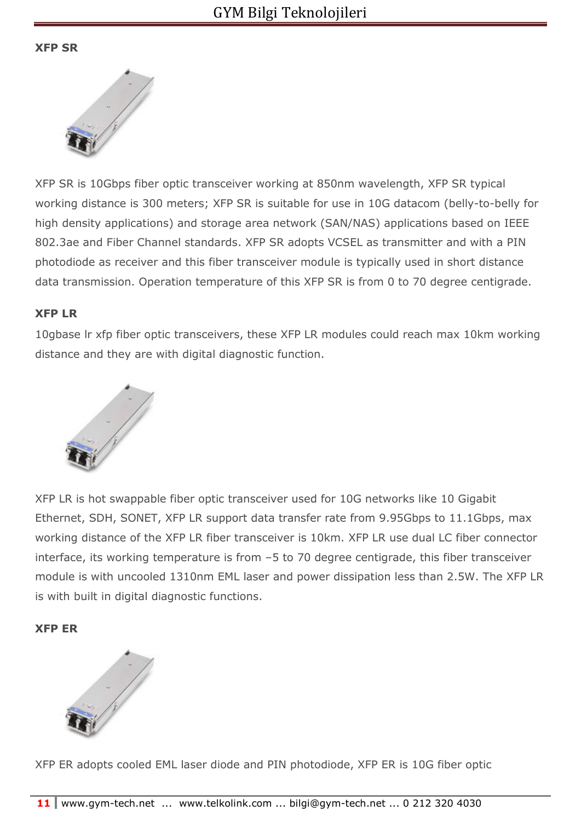### **XFP SR**



XFP SR is 10Gbps fiber optic transceiver working at 850nm wavelength, XFP SR typical working distance is 300 meters; XFP SR is suitable for use in 10G datacom (belly-to-belly for high density applications) and storage area network (SAN/NAS) applications based on IEEE 802.3ae and Fiber Channel standards. XFP SR adopts VCSEL as transmitter and with a PIN photodiode as receiver and this fiber transceiver module is typically used in short distance data transmission. Operation temperature of this XFP SR is from 0 to 70 degree centigrade.

### **XFP LR**

10gbase lr xfp fiber optic transceivers, these XFP LR modules could reach max 10km working distance and they are with digital diagnostic function.



XFP LR is hot swappable fiber optic transceiver used for 10G networks like 10 Gigabit Ethernet, SDH, SONET, XFP LR support data transfer rate from 9.95Gbps to 11.1Gbps, max working distance of the XFP LR fiber transceiver is 10km. XFP LR use dual LC fiber connector interface, its working temperature is from –5 to 70 degree centigrade, this fiber transceiver module is with uncooled 1310nm EML laser and power dissipation less than 2.5W. The XFP LR is with built in digital diagnostic functions.

### **XFP ER**



XFP ER adopts cooled EML laser diode and PIN photodiode, XFP ER is 10G fiber optic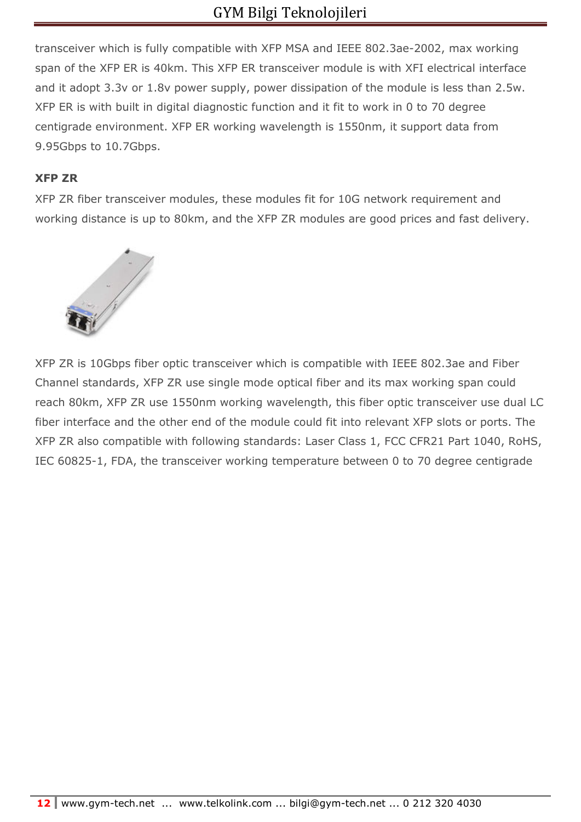transceiver which is fully compatible with XFP MSA and IEEE 802.3ae-2002, max working span of the XFP ER is 40km. This XFP ER transceiver module is with XFI electrical interface and it adopt 3.3v or 1.8v power supply, power dissipation of the module is less than 2.5w. XFP ER is with built in digital diagnostic function and it fit to work in 0 to 70 degree centigrade environment. XFP ER working wavelength is 1550nm, it support data from 9.95Gbps to 10.7Gbps.

## **XFP ZR**

XFP ZR fiber transceiver modules, these modules fit for 10G network requirement and working distance is up to 80km, and the XFP ZR modules are good prices and fast delivery.



XFP ZR is 10Gbps fiber optic transceiver which is compatible with IEEE 802.3ae and Fiber Channel standards, XFP ZR use single mode optical fiber and its max working span could reach 80km, XFP ZR use 1550nm working wavelength, this fiber optic transceiver use dual LC fiber interface and the other end of the module could fit into relevant XFP slots or ports. The XFP ZR also compatible with following standards: Laser Class 1, FCC CFR21 Part 1040, RoHS, IEC 60825-1, FDA, the transceiver working temperature between 0 to 70 degree centigrade